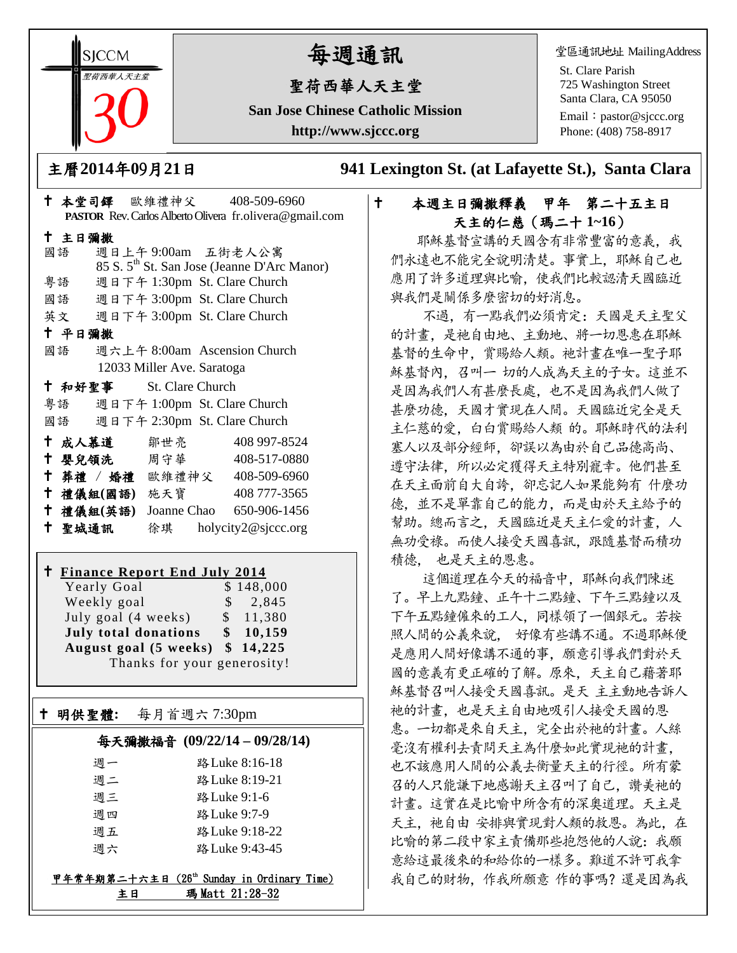**SICCM** 聖荷西華人天主堂 

# 每週通訊

# 聖荷西華人天主堂

**San Jose Chinese Catholic Mission http://www.sjccc.org**

堂區通訊地址 MailingAddress

St. Clare Parish 725 Washington Street Santa Clara, CA 95050 Email: [pastor@sjccc.org](mailto:pastor@sjccc.org) Phone: (408) 758-8917

主曆**2014**年**0**9月**21**日 **941 Lexington St. (at Lafayette St.), Santa Clara** 

# 本堂司鐸 歐維禮神父 408-509-6960 **PASTOR** Rev. Carlos Alberto Olivera fr.olivera@gmail.com 主日彌撒 國語 週日上午 9:00am 五街老人公寓 85 S. 5th St. San Jose (Jeanne D'Arc Manor) 粵語 週日下午 1:30pm St. Clare Church 國語 週日下午 3:00pm St. Clare Church 英文 週日下午 3:00pm St. Clare Church 平日彌撒 國語 週六上午 8:00am Ascension Church 12033 Miller Ave. Saratoga 和好聖事 St. Clare Church 粵語 週日下午 1:00pm St. Clare Church 國語 週日下午 2:30pm St. Clare Church 成人慕道 鄒世亮 408 997-8524 嬰兒領洗 周守華 408-517-0880 葬禮 / 婚禮 歐維禮神父 408-509-6960 禮儀組**(**國語**)** 施天寶 408 777-3565 禮儀組**(**英語**)** Joanne Chao 650-906-1456 聖城通訊 徐琪 holycity2@sjccc.org

# **Finance Report End July 2014**

Yearly Goal \$148,000 Weekly goal  $\qquad$  \$ 2,845 July goal  $(4 \text{ weeks})$  \$ 11,380 **July total donations \$ 10,159 August goal (5 weeks) \$ 14,225** Thanks for your generosity!

# 明供聖體**:** 每月首週六 7:30pm

Ξ

## 每天彌撒福音 **(09/22/14 – 09/28/14)**

| 调一 | 路 Luke 8:16-18 |
|----|----------------|
| 调二 | 路 Luke 8:19-21 |
| 调三 | 路 Luke 9:1-6   |
| 週四 | 路 Luke 9:7-9   |
| 调五 | 路 Luke 9:18-22 |
| 调六 | 路 Luke 9:43-45 |
|    |                |

# 甲年常年期第二十六主日 (26th Sunday in Ordinary Time) 主日 瑪 Matt 21:28-32

# 本週主日彌撒釋義 甲年 第二十五主日 天主的仁慈(瑪二十 **1~16**)

耶穌基督宣講的天國含有非常豐富的意義。我 們永遠也不能完全說明清楚。事實上,耶穌自己也 應用了許多道理與比喻,使我們比較認清天國臨近 與我們是關係多麼密切的好消息。

 不過,有一點我們必須肯定:天國是天主聖父 的計畫,是祂自由地、主動地、將一切恩惠在耶穌 基督的生命中,賞賜給人類。祂計畫在唯一聖子耶 穌基督內,召叫一 切的人成為天主的子女。這並不 是因為我們人有甚麼長處,也不是因為我們人做了 甚麼功德,天國才實現在人間。天國臨近完全是天 主仁慈的愛,白白賞賜給人類 的。耶穌時代的法利 塞人以及部分經師,卻誤以為由於自己品德高尚、 遵守法律,所以必定獲得天主特別寵幸。他們甚至 在天主面前自大自誇,卻忘記人如果能夠有 什麼功 德,並不是單靠自己的能力,而是由於天主給予的 幫助。總而言之,天國臨近是天主仁愛的計畫,人 無功受祿。而使人接受天國喜訊,跟隨基督而積功 積德, 也是天主的恩惠。

 這個道理在今天的福音中,耶穌向我們陳述 了。早上九點鐘、正午十二點鐘、下午三點鐘以及 下午五點鐘僱來的工人,同樣領了一個銀元。若按 照人間的公義來說, 好像有些講不通。不過耶穌便 是應用人間好像講不通的事,願意引導我們對於天 國的意義有更正確的了解。原來,天主自己藉著耶 穌基督召叫人接受天國喜訊。是天 主主動地告訴人 祂的計畫,也是天主自由地吸引人接受天國的恩 惠。一切都是來自天主,完全出於祂的計畫。人絲 毫沒有權利去責問天主為什麼如此實現祂的計畫, 也不該應用人間的公義去衡量天主的行徑。所有蒙 召的人只能謙下地感謝天主召叫了自己,讚美祂的 計畫。這實在是比喻中所含有的深奧道理。天主是 天主, 祂自由 安排與實現對人類的救恩。為此, 在 比喻的第二段中家主責備那些抱怨他的人說:我願 意給這最後來的和給你的一樣多。難道不許可我拿 我自己的財物,作我所願意 作的事嗎?還是因為我